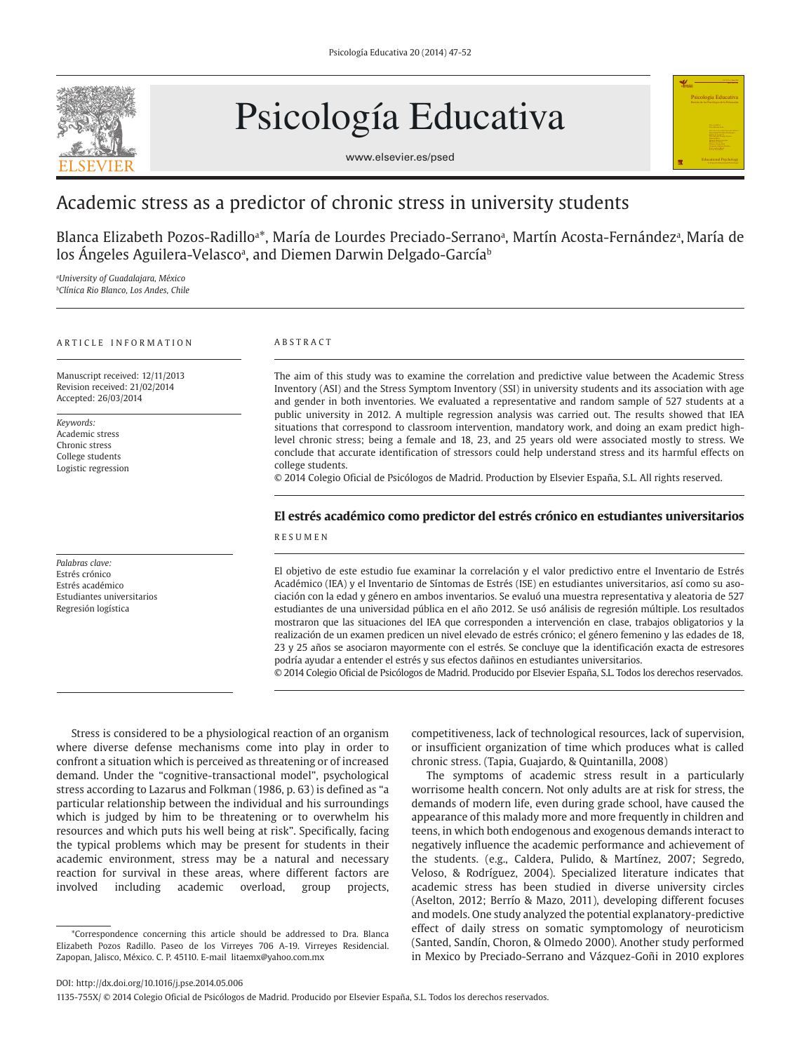

# Psicología Educativa



# Academic stress as a predictor of chronic stress in university students

Blanca Elizabeth Pozos-Radilloª\*, María de Lourdes Preciado-Serranoª, Martín Acosta-Fernándezª, María de los Ångeles Aguilera-Velascoª, and Diemen Darwin Delgado-García<sup>ь</sup>

*a University of Guadalajara, México b Clínica Rio Blanco, Los Andes, Chile* 

#### ARTICLE INFORMATION

Manuscript received: 12/11/2013 Revision received: 21/02/2014 Accepted: 26/03/2014

*Keywords:* Academic stress Chronic stress College students Logistic regression

*Palabras clave:*  Estrés crónico Estrés académico Estudiantes universitarios Regresión logística

#### ABSTRACT

The aim of this study was to examine the correlation and predictive value between the Academic Stress Inventory (ASI) and the Stress Symptom Inventory (SSI) in university students and its association with age and gender in both inventories. We evaluated a representative and random sample of 527 students at a public university in 2012. A multiple regression analysis was carried out. The results showed that IEA situations that correspond to classroom intervention, mandatory work, and doing an exam predict highlevel chronic stress; being a female and 18, 23, and 25 years old were associated mostly to stress. We conclude that accurate identification of stressors could help understand stress and its harmful effects on college students.

© 2014 Colegio Oficial de Psicólogos de Madrid. Production by Elsevier España, S.L. All rights reserved.

# **El estrés académico como predictor del estrés crónico en estudiantes universitarios** RESUMEN

El objetivo de este estudio fue examinar la correlación y el valor predictivo entre el Inventario de Estrés Académico (IEA) y el Inventario de Síntomas de Estrés (ISE) en estudiantes universitarios, así como su asociación con la edad y género en ambos inventarios. Se evaluó una muestra representativa y aleatoria de 527 estudiantes de una universidad pública en el año 2012. Se usó análisis de regresión múltiple. Los resultados mostraron que las situaciones del IEA que corresponden a intervención en clase, trabajos obligatorios y la realización de un examen predicen un nivel elevado de estrés crónico; el género femenino y las edades de 18, 23 y 25 años se asociaron mayormente con el estrés. Se concluye que la identificación exacta de estresores podría ayudar a entender el estrés y sus efectos dañinos en estudiantes universitarios.

© 2014 Colegio Oficial de Psicólogos de Madrid. Producido por Elsevier España, S.L. Todos los derechos reservados.

Stress is considered to be a physiological reaction of an organism where diverse defense mechanisms come into play in order to confront a situation which is perceived as threatening or of increased demand. Under the "cognitive-transactional model", psychological stress according to Lazarus and Folkman (1986, p. 63) is defined as "a particular relationship between the individual and his surroundings which is judged by him to be threatening or to overwhelm his resources and which puts his well being at risk". Specifically, facing the typical problems which may be present for students in their academic environment, stress may be a natural and necessary reaction for survival in these areas, where different factors are involved including academic overload, group projects, competitiveness, lack of technological resources, lack of supervision, or insufficient organization of time which produces what is called chronic stress. (Tapia, Guajardo, & Quintanilla, 2008)

Psicología Educativa

Educational Psychology A Journal for Educational Psychologist

The symptoms of academic stress result in a particularly worrisome health concern. Not only adults are at risk for stress, the demands of modern life, even during grade school, have caused the appearance of this malady more and more frequently in children and teens, in which both endogenous and exogenous demands interact to negatively influence the academic performance and achievement of the students. (e.g., Caldera, Pulido, & Martínez, 2007; Segredo, Veloso, & Rodríguez, 2004). Specialized literature indicates that academic stress has been studied in diverse university circles (Aselton, 2012; Berrío & Mazo, 2011), developing different focuses and models. One study analyzed the potential explanatory-predictive effect of daily stress on somatic symptomology of neuroticism (Santed, Sandín, Choron, & Olmedo 2000). Another study performed in Mexico by Preciado-Serrano and Vázquez-Goñi in 2010 explores

DOI: http://dx.doi.org/10.1016/j.pse.2014.05.006

1135-755X/ © 2014 Colegio Oficial de Psicólogos de Madrid. Producido por Elsevier España, S.L. Todos los derechos reservados.

<sup>\*</sup>Correspondence concerning this article should be addressed to Dra. Blanca Elizabeth Pozos Radillo. Paseo de los Virreyes 706 A-19. Virreyes Residencial. Zapopan, Jalisco, México. C. P. 45110. E-mail litaemx@yahoo.com.mx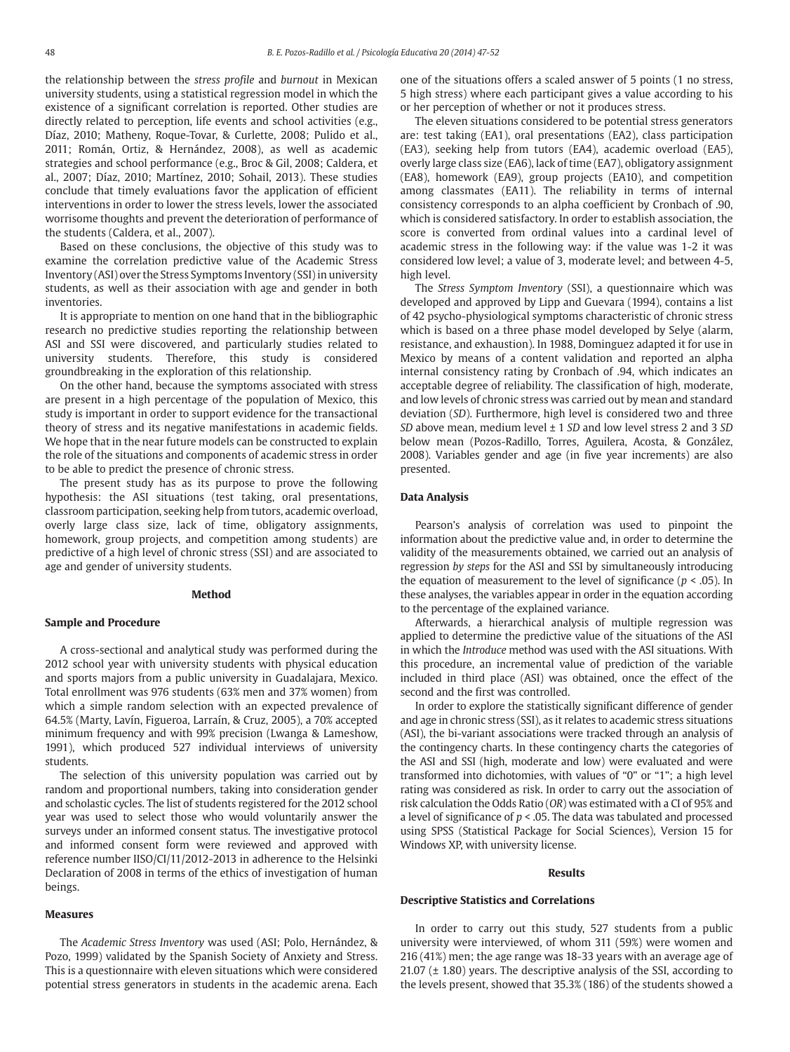the relationship between the *stress profile* and *burnout* in Mexican university students, using a statistical regression model in which the existence of a significant correlation is reported. Other studies are directly related to perception, life events and school activities (e.g., Díaz, 2010; Matheny, Roque-Tovar, & Curlette, 2008; Pulido et al., 2011; Román, Ortiz, & Hernández, 2008), as well as academic strategies and school performance (e.g., Broc & Gil, 2008; Caldera, et al., 2007; Díaz, 2010; Martínez, 2010; Sohail, 2013). These studies conclude that timely evaluations favor the application of efficient interventions in order to lower the stress levels, lower the associated worrisome thoughts and prevent the deterioration of performance of the students (Caldera, et al., 2007).

Based on these conclusions, the objective of this study was to examine the correlation predictive value of the Academic Stress Inventory (ASI) over the Stress Symptoms Inventory (SSI) in university students, as well as their association with age and gender in both inventories.

It is appropriate to mention on one hand that in the bibliographic research no predictive studies reporting the relationship between ASI and SSI were discovered, and particularly studies related to university students. Therefore, this study is considered groundbreaking in the exploration of this relationship.

On the other hand, because the symptoms associated with stress are present in a high percentage of the population of Mexico, this study is important in order to support evidence for the transactional theory of stress and its negative manifestations in academic fields. We hope that in the near future models can be constructed to explain the role of the situations and components of academic stress in order to be able to predict the presence of chronic stress.

The present study has as its purpose to prove the following hypothesis: the ASI situations (test taking, oral presentations, classroom participation, seeking help from tutors, academic overload, overly large class size, lack of time, obligatory assignments, homework, group projects, and competition among students) are predictive of a high level of chronic stress (SSI) and are associated to age and gender of university students.

#### **Method**

#### **Sample and Procedure**

A cross-sectional and analytical study was performed during the 2012 school year with university students with physical education and sports majors from a public university in Guadalajara, Mexico. Total enrollment was 976 students (63% men and 37% women) from which a simple random selection with an expected prevalence of 64.5% (Marty, Lavín, Figueroa, Larraín, & Cruz, 2005), a 70% accepted minimum frequency and with 99% precision (Lwanga & Lameshow, 1991), which produced 527 individual interviews of university students.

The selection of this university population was carried out by random and proportional numbers, taking into consideration gender and scholastic cycles. The list of students registered for the 2012 school year was used to select those who would voluntarily answer the surveys under an informed consent status. The investigative protocol and informed consent form were reviewed and approved with reference number IISO/CI/11/2012-2013 in adherence to the Helsinki Declaration of 2008 in terms of the ethics of investigation of human beings.

#### **Measures**

The *Academic Stress Inventory* was used (ASI; Polo, Hernández, & Pozo, 1999) validated by the Spanish Society of Anxiety and Stress. This is a questionnaire with eleven situations which were considered potential stress generators in students in the academic arena. Each one of the situations offers a scaled answer of 5 points (1 no stress, 5 high stress) where each participant gives a value according to his or her perception of whether or not it produces stress.

The eleven situations considered to be potential stress generators are: test taking (EA1), oral presentations (EA2), class participation (EA3), seeking help from tutors (EA4), academic overload (EA5), overly large class size (EA6), lack of time (EA7), obligatory assignment (EA8), homework (EA9), group projects (EA10), and competition among classmates (EA11). The reliability in terms of internal consistency corresponds to an alpha coefficient by Cronbach of .90, which is considered satisfactory. In order to establish association, the score is converted from ordinal values into a cardinal level of academic stress in the following way: if the value was 1-2 it was considered low level; a value of 3, moderate level; and between 4-5, high level.

The *Stress Symptom Inventory* (SSI), a questionnaire which was developed and approved by Lipp and Guevara (1994), contains a list of 42 psycho-physiological symptoms characteristic of chronic stress which is based on a three phase model developed by Selye (alarm, resistance, and exhaustion). In 1988, Dominguez adapted it for use in Mexico by means of a content validation and reported an alpha internal consistency rating by Cronbach of .94, which indicates an acceptable degree of reliability. The classification of high, moderate, and low levels of chronic stress was carried out by mean and standard deviation (*SD*). Furthermore, high level is considered two and three *SD* above mean, medium level ± 1 *SD* and low level stress 2 and 3 *SD* below mean (Pozos-Radillo, Torres, Aguilera, Acosta, & González, 2008). Variables gender and age (in five year increments) are also presented.

#### **Data Analysis**

Pearson's analysis of correlation was used to pinpoint the information about the predictive value and, in order to determine the validity of the measurements obtained, we carried out an analysis of regression *by steps* for the ASI and SSI by simultaneously introducing the equation of measurement to the level of significance ( $p < .05$ ). In these analyses, the variables appear in order in the equation according to the percentage of the explained variance.

Afterwards, a hierarchical analysis of multiple regression was applied to determine the predictive value of the situations of the ASI in which the *Introduce* method was used with the ASI situations. With this procedure, an incremental value of prediction of the variable included in third place (ASI) was obtained, once the effect of the second and the first was controlled.

In order to explore the statistically significant difference of gender and age in chronic stress (SSI), as it relates to academic stress situations (ASI), the bi-variant associations were tracked through an analysis of the contingency charts. In these contingency charts the categories of the ASI and SSI (high, moderate and low) were evaluated and were transformed into dichotomies, with values of "0" or "1"; a high level rating was considered as risk. In order to carry out the association of risk calculation the Odds Ratio (*OR*) was estimated with a CI of 95% and a level of significance of *p* < .05. The data was tabulated and processed using SPSS (Statistical Package for Social Sciences), Version 15 for Windows XP, with university license.

#### **Results**

#### **Descriptive Statistics and Correlations**

In order to carry out this study, 527 students from a public university were interviewed, of whom 311 (59%) were women and 216 (41%) men; the age range was 18-33 years with an average age of 21.07 (± 1.80) years. The descriptive analysis of the SSI, according to the levels present, showed that 35.3% (186) of the students showed a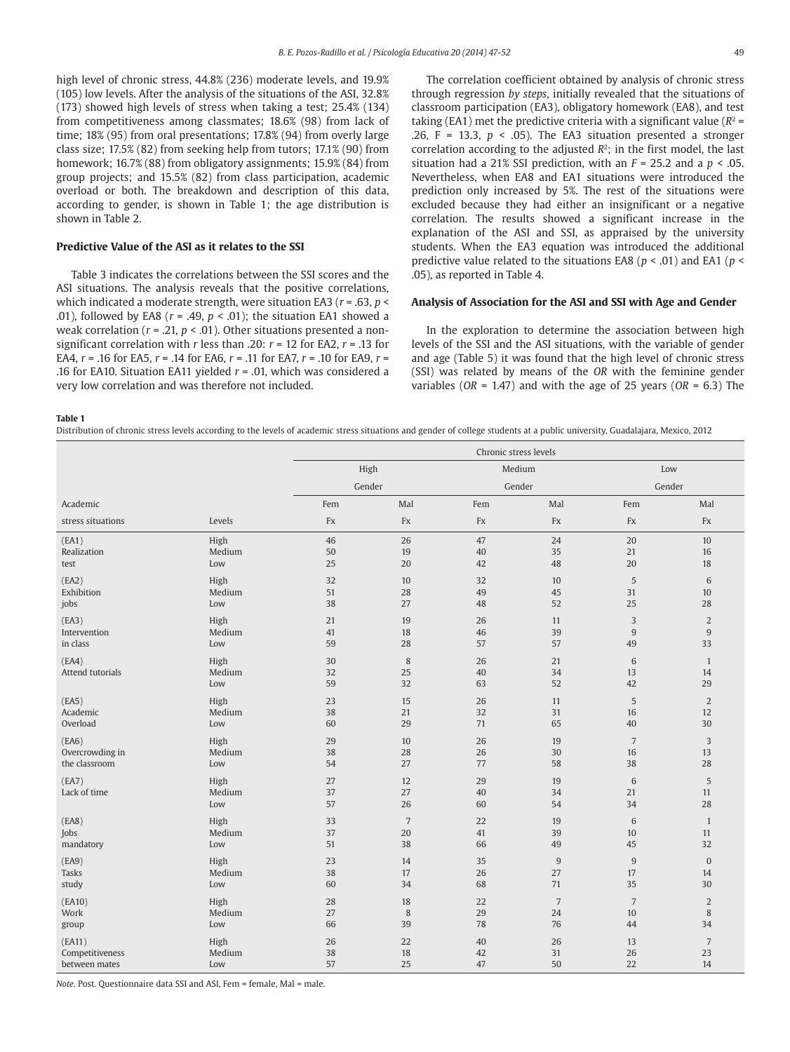high level of chronic stress, 44.8% (236) moderate levels, and 19.9% (105) low levels. After the analysis of the situations of the ASI, 32.8% (173) showed high levels of stress when taking a test; 25.4% (134) from competitiveness among classmates; 18.6% (98) from lack of time; 18% (95) from oral presentations; 17.8% (94) from overly large class size; 17.5% (82) from seeking help from tutors; 17.1% (90) from homework; 16.7% (88) from obligatory assignments; 15.9% (84) from group projects; and 15.5% (82) from class participation, academic overload or both. The breakdown and description of this data, according to gender, is shown in Table 1; the age distribution is shown in Table 2.

### **Predictive Value of the ASI as it relates to the SSI**

Table 3 indicates the correlations between the SSI scores and the ASI situations. The analysis reveals that the positive correlations, which indicated a moderate strength, were situation EA3 (*r* = .63, *p* < .01), followed by EA8 ( $r = .49$ ,  $p < .01$ ); the situation EA1 showed a weak correlation (*r* = .21, *p* < .01). Other situations presented a nonsignificant correlation with *r* less than .20: *r* = 12 for EA2, *r* = .13 for EA4, *r* = .16 for EA5, *r* = .14 for EA6, *r* = .11 for EA7, *r* = .10 for EA9, *r* = .16 for EA10. Situation EA11 yielded *r* = .01, which was considered a very low correlation and was therefore not included.

The correlation coefficient obtained by analysis of chronic stress through regression *by steps*, initially revealed that the situations of classroom participation (EA3), obligatory homework (EA8), and test taking (EA1) met the predictive criteria with a significant value ( $R^2$  = .26,  $F = 13.3$ ,  $p < .05$ ). The EA3 situation presented a stronger correlation according to the adjusted *R*2; in the first model, the last situation had a 21% SSI prediction, with an *F* = 25.2 and a *p* < .05. Nevertheless, when EA8 and EA1 situations were introduced the prediction only increased by 5%. The rest of the situations were excluded because they had either an insignificant or a negative correlation. The results showed a significant increase in the explanation of the ASI and SSI, as appraised by the university students. When the EA3 equation was introduced the additional predictive value related to the situations EA8 (*p* < .01) and EA1 (*p* < .05), as reported in Table 4.

## **Analysis of Association for the ASI and SSI with Age and Gender**

In the exploration to determine the association between high levels of the SSI and the ASI situations, with the variable of gender and age (Table 5) it was found that the high level of chronic stress (SSI) was related by means of the *OR* with the feminine gender variables (*OR* = 1.47) and with the age of 25 years (*OR* = 6.3) The

**Table 1**

Distribution of chronic stress levels according to the levels of academic stress situations and gender of college students at a public university, Guadalajara, Mexico, 2012

|                     |               | Chronic stress levels |                |          |                 |                |                |
|---------------------|---------------|-----------------------|----------------|----------|-----------------|----------------|----------------|
|                     |               | High                  |                | Medium   |                 | Low            |                |
|                     |               | Gender                |                | Gender   |                 | Gender         |                |
| Academic            |               | Fem                   | Mal            | Fem      | Mal             | Fem            | Mal            |
| stress situations   | Levels        | Fx                    | Fx             | Fx       | Fx              | Fx             | Fx             |
| (EA1)               | High          | 46                    | 26             | 47       | 24              | 20             | 10             |
| Realization<br>test | Medium<br>Low | 50<br>25              | 19<br>20       | 40<br>42 | 35<br>48        | 21<br>20       | 16<br>18       |
|                     |               |                       |                |          |                 |                |                |
| (EA2)               | High          | 32                    | 10             | 32       | 10              | 5              | 6              |
| Exhibition          | Medium<br>Low | 51<br>38              | 28<br>27       | 49<br>48 | 45<br>52        | 31<br>25       | 10<br>28       |
| jobs                |               |                       |                |          |                 |                |                |
| (EA3)               | High          | 21                    | 19             | 26       | 11              | 3              | 2              |
| Intervention        | Medium        | 41                    | 18             | 46       | 39              | 9              | $9\,$          |
| in class            | Low           | 59                    | 28             | 57       | 57              | 49             | 33             |
| (EA4)               | High          | 30                    | 8              | 26       | 21              | $\sqrt{6}$     | $\mathbf{1}$   |
| Attend tutorials    | Medium        | 32                    | 25             | 40       | 34              | 13             | 14             |
|                     | Low           | 59                    | 32             | 63       | 52              | 42             | 29             |
| (EA5)               | High          | 23                    | 15             | 26       | 11              | 5              | $\overline{2}$ |
| Academic            | Medium        | 38                    | 21             | 32       | 31              | 16             | 12             |
| Overload            | Low           | 60                    | 29             | 71       | 65              | 40             | 30             |
| (EAG)               | High          | 29                    | 10             | 26       | 19              | $\overline{7}$ | 3              |
| Overcrowding in     | Medium        | 38                    | 28             | 26       | 30              | 16             | 13             |
| the classroom       | Low           | 54                    | 27             | 77       | 58              | 38             | 28             |
| (EA7)               | High          | 27                    | 12             | 29       | 19              | 6              | 5              |
| Lack of time        | Medium        | 37                    | 27             | 40       | 34              | 21             | 11             |
|                     | Low           | 57                    | 26             | 60       | 54              | 34             | 28             |
| (EA8)               | High          | 33                    | $\overline{7}$ | 22       | 19              | 6              | $\mathbf{1}$   |
| Jobs                | Medium        | 37                    | 20             | 41       | 39              | 10             | 11             |
| mandatory           | Low           | 51                    | 38             | 66       | 49              | 45             | 32             |
| (EA9)               | High          | 23                    | 14             | 35       | $9\,$           | $\overline{9}$ | $\mathbf{0}$   |
| Tasks               | Medium        | 38                    | 17             | 26       | 27              | 17             | 14             |
| study               | Low           | 60                    | 34             | 68       | 71              | 35             | 30             |
| (EA10)              | High          | 28                    | 18             | 22       | $7\phantom{.0}$ | $\overline{7}$ | $\overline{2}$ |
| Work                | Medium        | 27                    | 8              | 29       | 24              | 10             | 8              |
| group               | Low           | 66                    | 39             | 78       | 76              | 44             | 34             |
| (EA11)              | High          | 26                    | 22             | 40       | 26              | 13             | $\overline{7}$ |
| Competitiveness     | Medium        | 38                    | 18             | 42       | 31              | 26             | 23             |
| between mates       | Low           | 57                    | 25             | 47       | 50              | 22             | 14             |

*Note*. Post. Questionnaire data SSI and ASI, Fem = female, Mal = male.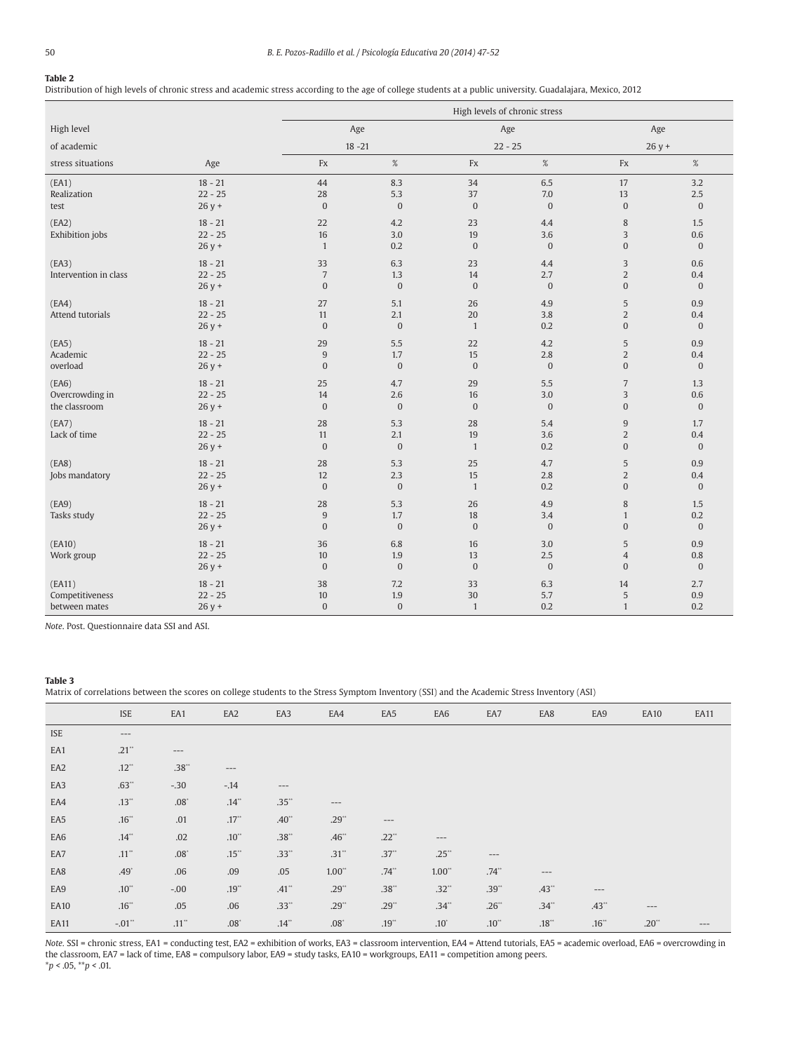#### **Table 2**

Distribution of high levels of chronic stress and academic stress according to the age of college students at a public university. Guadalajara, Mexico, 2012

|                                            |                                   |                                        | High levels of chronic stress  |                              |                            |                                                  |                                |
|--------------------------------------------|-----------------------------------|----------------------------------------|--------------------------------|------------------------------|----------------------------|--------------------------------------------------|--------------------------------|
| High level                                 |                                   | Age                                    |                                | Age                          |                            | Age                                              |                                |
| of academic                                |                                   | $18 - 21$                              |                                | $22 - 25$                    |                            | $26y +$                                          |                                |
| stress situations                          | Age                               | Fx                                     | $\%$                           | Fx                           | $\%$                       | $\mathop{\text{Fx}}$                             | $\%$                           |
| (EA1)<br>Realization<br>test               | $18 - 21$<br>$22 - 25$<br>$26y +$ | 44<br>28<br>$\boldsymbol{0}$           | 8.3<br>5.3<br>$\boldsymbol{0}$ | 34<br>37<br>$\overline{0}$   | 6.5<br>7.0<br>$\mathbf{0}$ | 17<br>13<br>$\mathbf{0}$                         | 3.2<br>2.5<br>$\boldsymbol{0}$ |
| (EA2)<br>Exhibition jobs                   | $18 - 21$<br>$22 - 25$<br>$26y +$ | 22<br>16<br>$\mathbf{1}$               | 4.2<br>3.0<br>0.2              | 23<br>19<br>$\overline{0}$   | 4.4<br>3.6<br>$\mathbf{0}$ | 8<br>3<br>$\mathbf{0}$                           | 1.5<br>0.6<br>$\overline{0}$   |
| (EA3)<br>Intervention in class             | $18 - 21$<br>$22 - 25$<br>$26y +$ | 33<br>$\sqrt{ }$<br>$\boldsymbol{0}$   | 6.3<br>1.3<br>$\mathbf{0}$     | 23<br>14<br>$\mathbf{0}$     | 4.4<br>2.7<br>$\mathbf{0}$ | 3<br>$\overline{2}$<br>$\mathbf{0}$              | 0.6<br>0.4<br>$\mathbf{0}$     |
| (EA4)<br>Attend tutorials                  | $18 - 21$<br>$22 - 25$<br>$26y +$ | 27<br>11<br>$\boldsymbol{0}$           | 5.1<br>2.1<br>$\boldsymbol{0}$ | 26<br>20<br>$\mathbf{1}$     | 4.9<br>3.8<br>0.2          | 5<br>$\overline{2}$<br>$\mathbf{0}$              | 0.9<br>0.4<br>$\overline{0}$   |
| (EA5)<br>Academic<br>overload              | $18 - 21$<br>$22 - 25$<br>$26y +$ | 29<br>$9\,$<br>$\boldsymbol{0}$        | 5.5<br>1.7<br>$\boldsymbol{0}$ | 22<br>15<br>$\overline{0}$   | 4.2<br>2.8<br>$\mathbf{0}$ | 5<br>$\overline{2}$<br>$\mathbf{0}$              | 0.9<br>0.4<br>$\boldsymbol{0}$ |
| (EA6)<br>Overcrowding in<br>the classroom  | $18 - 21$<br>$22 - 25$<br>$26y +$ | 25<br>14<br>$\boldsymbol{0}$           | 4.7<br>2.6<br>$\boldsymbol{0}$ | 29<br>16<br>$\overline{0}$   | 5.5<br>3.0<br>$\mathbf{0}$ | $\overline{7}$<br>3<br>$\mathbf{0}$              | 1.3<br>0.6<br>$\overline{0}$   |
| (EA7)<br>Lack of time                      | $18 - 21$<br>$22 - 25$<br>$26y +$ | 28<br>11<br>$\mathbf{0}$               | 5.3<br>2.1<br>$\boldsymbol{0}$ | 28<br>19<br>$\mathbf{1}$     | 5.4<br>3.6<br>0.2          | $\overline{9}$<br>$\overline{2}$<br>$\mathbf{0}$ | 1.7<br>0.4<br>$\overline{0}$   |
| (EA8)<br>Jobs mandatory                    | $18 - 21$<br>$22 - 25$<br>$26y +$ | 28<br>12<br>$\boldsymbol{0}$           | 5.3<br>2.3<br>$\bf{0}$         | 25<br>15<br>$\mathbf{1}$     | 4.7<br>2.8<br>0.2          | 5<br>$\overline{2}$<br>$\mathbf{0}$              | 0.9<br>0.4<br>$\mathbf{0}$     |
| (EA9)<br>Tasks study                       | $18 - 21$<br>$22 - 25$<br>$26y +$ | 28<br>$\boldsymbol{9}$<br>$\mathbf{0}$ | 5.3<br>1.7<br>$\bf{0}$         | 26<br>18<br>$\overline{0}$   | 4.9<br>3.4<br>$\mathbf{0}$ | 8<br>$\mathbf{1}$<br>$\overline{0}$              | 1.5<br>0.2<br>$\overline{0}$   |
| (EA10)<br>Work group                       | $18 - 21$<br>$22 - 25$<br>$26y +$ | 36<br>10<br>$\boldsymbol{0}$           | 6.8<br>1.9<br>$\boldsymbol{0}$ | 16<br>13<br>$\boldsymbol{0}$ | 3.0<br>2.5<br>$\mathbf{0}$ | 5<br>$\overline{4}$<br>$\mathbf{0}$              | 0.9<br>0.8<br>$\overline{0}$   |
| (EA11)<br>Competitiveness<br>between mates | $18 - 21$<br>$22 - 25$<br>$26y +$ | 38<br>10<br>$\boldsymbol{0}$           | 7.2<br>1.9<br>$\boldsymbol{0}$ | 33<br>30<br>$\mathbf{1}$     | 6.3<br>5.7<br>0.2          | 14<br>5<br>$\mathbf{1}$                          | 2.7<br>0.9<br>0.2              |

*Note*. Post. Questionnaire data SSI and ASI.

#### **Table 3**

Matrix of correlations between the scores on college students to the Stress Symptom Inventory (SSI) and the Academic Stress Inventory (ASI)

|             | <b>ISE</b>          | EA1                 | EA <sub>2</sub> | EA3                | EA4         | EA <sub>5</sub>     | EA6                 | EA7        | EA8        | EA9     | <b>EA10</b> | <b>EA11</b> |
|-------------|---------------------|---------------------|-----------------|--------------------|-------------|---------------------|---------------------|------------|------------|---------|-------------|-------------|
| <b>ISE</b>  | $---$               |                     |                 |                    |             |                     |                     |            |            |         |             |             |
| EA1         | $.21$ <sup>**</sup> | $---$               |                 |                    |             |                     |                     |            |            |         |             |             |
| EA2         | $.12^{**}$          | .38                 | $---$           |                    |             |                     |                     |            |            |         |             |             |
| EA3         | $.63^{**}$          | $-.30$              | $-.14$          | $---$              |             |                     |                     |            |            |         |             |             |
| EA4         | $.13**$             | $.08^\circ$         | .14             | $.35^{**}$         | $---$       |                     |                     |            |            |         |             |             |
| EA5         | $.16^{**}$          | .01                 | .17             | $.40^{**}$         | $.29^{**}$  | $-\,--\,$           |                     |            |            |         |             |             |
| EA6         | .14"                | .02                 | $.10^{**}$      | $.38^{\circ\circ}$ | .46"        | $.22$ <sup>**</sup> | ---                 |            |            |         |             |             |
| EA7         | $.11$ "             | $.08^\circ$         | $.15^{**}$      | .33"               | .31"        | .37"                | $.25$ <sup>**</sup> | $---$      |            |         |             |             |
| EA8         | $.49^{\circ}$       | .06                 | .09             | .05                | 1.00"       | $.74$ <sup>**</sup> | 1.00"               | $.74^{**}$ | $---$      |         |             |             |
| EA9         | $.10^{**}$          | $-.00$              | $.19**$         | .41"               | $.29^{**}$  | $.38**$             | $.32^{**}$          | $.39^{**}$ | $.43^{**}$ | $---$   |             |             |
| <b>EA10</b> | $.16^{**}$          | .05                 | .06             | .33"               | $.29^{**}$  | $.29**$             | .34"                | $.26*$     | $.34^{**}$ | .43"    | $---$       |             |
| EA11        | $-.01"$             | $.11$ <sup>**</sup> | $.08^{\circ}$   | .14                | $.08^\circ$ | $.19^{**}$          | $.10*$              | $.10^{**}$ | .18        | $.16$ " | $.20^{**}$  | $---$       |

*Note.* SSI = chronic stress, EA1 = conducting test, EA2 = exhibition of works, EA3 = classroom intervention, EA4 = Attend tutorials, EA5 = academic overload, EA6 = overcrowding in the classroom, EA7 = lack of time, EA8 = compulsory labor, EA9 = study tasks, EA10 = workgroups, EA11 = competition among peers. \**p <* .05, \*\**p <* .01.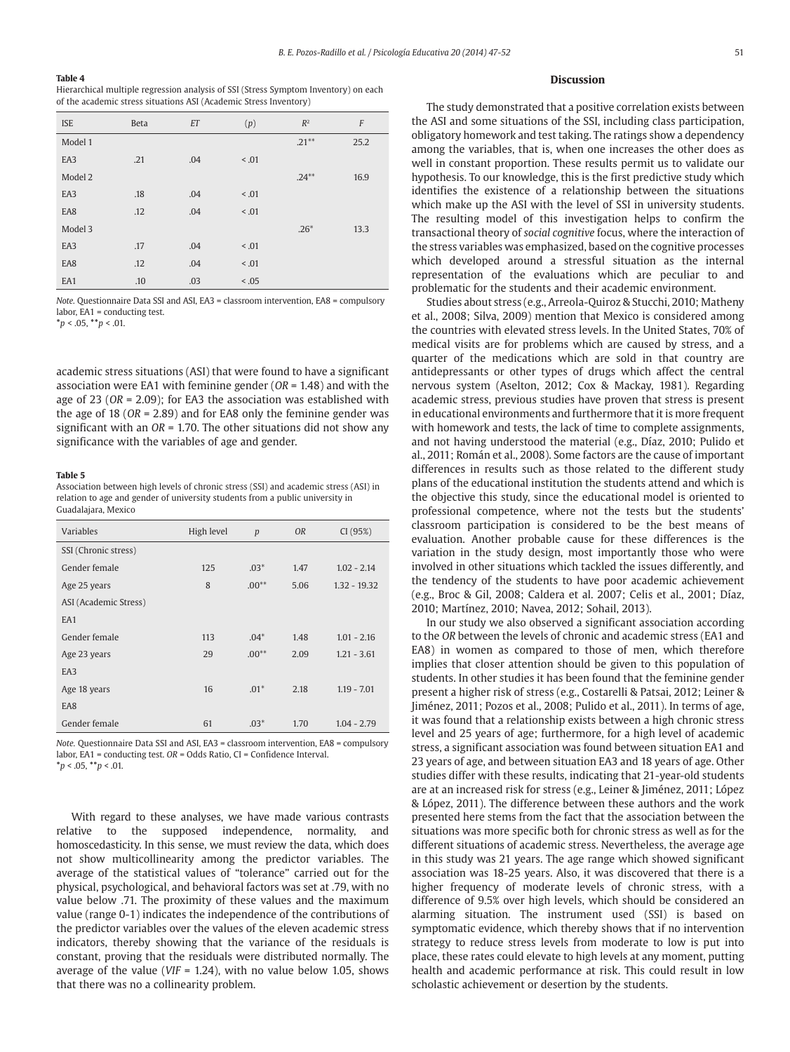#### **Table 4**

Hierarchical multiple regression analysis of SSI (Stress Symptom Inventory) on each of the academic stress situations ASI (Academic Stress Inventory)

| <b>ISE</b> | <b>Beta</b> | ET  | (p)    | $R^2$    | F    |
|------------|-------------|-----|--------|----------|------|
| Model 1    |             |     |        | $.21***$ | 25.2 |
| EA3        | .21         | .04 | < 0.01 |          |      |
| Model 2    |             |     |        | $.24***$ | 16.9 |
| EA3        | .18         | .04 | < .01  |          |      |
| EA8        | .12         | .04 | < 0.01 |          |      |
| Model 3    |             |     |        | $.26*$   | 13.3 |
| EA3        | .17         | .04 | < 0.01 |          |      |
| EA8        | .12         | .04 | < .01  |          |      |
| EA1        | .10         | .03 | < 0.05 |          |      |

*Note.* Questionnaire Data SSI and ASI, EA3 = classroom intervention, EA8 = compulsory labor, EA1 = conducting test.

**\****p* < .05, **\*\****p* < .01.

academic stress situations (ASI) that were found to have a significant association were EA1 with feminine gender (*OR* = 1.48) and with the age of 23 (*OR* = 2.09); for EA3 the association was established with the age of 18 (*OR* = 2.89) and for EA8 only the feminine gender was significant with an *OR* = 1.70. The other situations did not show any significance with the variables of age and gender.

#### **Table 5**

Association between high levels of chronic stress (SSI) and academic stress (ASI) in relation to age and gender of university students from a public university in Guadalajara, Mexico

| Variables             | High level    | p       | <b>OR</b> | CI (95%)       |
|-----------------------|---------------|---------|-----------|----------------|
| SSI (Chronic stress)  |               |         |           |                |
| Gender female         | 125           | $.03*$  | 1.47      | $1.02 - 2.14$  |
| Age 25 years          | 8             | $.00**$ |           | $1.32 - 19.32$ |
| ASI (Academic Stress) |               |         |           |                |
| EA <sub>1</sub>       |               |         |           |                |
| Gender female         | 113           | $.04*$  | 1.48      | $1.01 - 2.16$  |
| Age 23 years          | $.00**$<br>29 |         | 2.09      | $1.21 - 3.61$  |
| EA3                   |               |         |           |                |
| Age 18 years          | 16            | $.01*$  | 2.18      | $1.19 - 7.01$  |
| EA8                   |               |         |           |                |
| Gender female         | 61            | $.03*$  | 1.70      | $1.04 - 2.79$  |

*Note.* Questionnaire Data SSI and ASI, EA3 = classroom intervention, EA8 = compulsory labor, EA1 = conducting test. *OR* = Odds Ratio, CI = Confidence Interval. **\****p* < .05, **\*\****p* < .01.

With regard to these analyses, we have made various contrasts relative to the supposed independence, normality, and homoscedasticity. In this sense, we must review the data, which does not show multicollinearity among the predictor variables. The average of the statistical values of "tolerance" carried out for the physical, psychological, and behavioral factors was set at .79, with no value below .71. The proximity of these values and the maximum value (range 0-1) indicates the independence of the contributions of the predictor variables over the values of the eleven academic stress indicators, thereby showing that the variance of the residuals is constant, proving that the residuals were distributed normally. The average of the value (*VIF* = 1.24), with no value below 1.05, shows that there was no a collinearity problem.

#### **Discussion**

The study demonstrated that a positive correlation exists between the ASI and some situations of the SSI, including class participation, obligatory homework and test taking. The ratings show a dependency among the variables, that is, when one increases the other does as well in constant proportion. These results permit us to validate our hypothesis. To our knowledge, this is the first predictive study which identifies the existence of a relationship between the situations which make up the ASI with the level of SSI in university students. The resulting model of this investigation helps to confirm the transactional theory of *social cognitive* focus, where the interaction of the stress variables was emphasized, based on the cognitive processes which developed around a stressful situation as the internal representation of the evaluations which are peculiar to and problematic for the students and their academic environment.

Studies about stress (e.g., Arreola-Quiroz & Stucchi, 2010; Matheny et al., 2008; Silva, 2009) mention that Mexico is considered among the countries with elevated stress levels. In the United States, 70% of medical visits are for problems which are caused by stress, and a quarter of the medications which are sold in that country are antidepressants or other types of drugs which affect the central nervous system (Aselton, 2012; Cox & Mackay, 1981). Regarding academic stress, previous studies have proven that stress is present in educational environments and furthermore that it is more frequent with homework and tests, the lack of time to complete assignments, and not having understood the material (e.g., Díaz, 2010; Pulido et al., 2011; Román et al., 2008). Some factors are the cause of important differences in results such as those related to the different study plans of the educational institution the students attend and which is the objective this study, since the educational model is oriented to professional competence, where not the tests but the students' classroom participation is considered to be the best means of evaluation. Another probable cause for these differences is the variation in the study design, most importantly those who were involved in other situations which tackled the issues differently, and the tendency of the students to have poor academic achievement (e.g., Broc & Gil, 2008; Caldera et al. 2007; Celis et al., 2001; Díaz, 2010; Martínez, 2010; Navea, 2012; Sohail, 2013).

In our study we also observed a significant association according to the *OR* between the levels of chronic and academic stress (EA1 and EA8) in women as compared to those of men, which therefore implies that closer attention should be given to this population of students. In other studies it has been found that the feminine gender present a higher risk of stress (e.g., Costarelli & Patsai, 2012; Leiner & Jiménez, 2011; Pozos et al., 2008; Pulido et al., 2011). In terms of age, it was found that a relationship exists between a high chronic stress level and 25 years of age; furthermore, for a high level of academic stress, a significant association was found between situation EA1 and 23 years of age, and between situation EA3 and 18 years of age. Other studies differ with these results, indicating that 21-year-old students are at an increased risk for stress (e.g., Leiner & Jiménez, 2011; López & López, 2011). The difference between these authors and the work presented here stems from the fact that the association between the situations was more specific both for chronic stress as well as for the different situations of academic stress. Nevertheless, the average age in this study was 21 years. The age range which showed significant association was 18-25 years. Also, it was discovered that there is a higher frequency of moderate levels of chronic stress, with a difference of 9.5% over high levels, which should be considered an alarming situation. The instrument used (SSI) is based on symptomatic evidence, which thereby shows that if no intervention strategy to reduce stress levels from moderate to low is put into place, these rates could elevate to high levels at any moment, putting health and academic performance at risk. This could result in low scholastic achievement or desertion by the students.